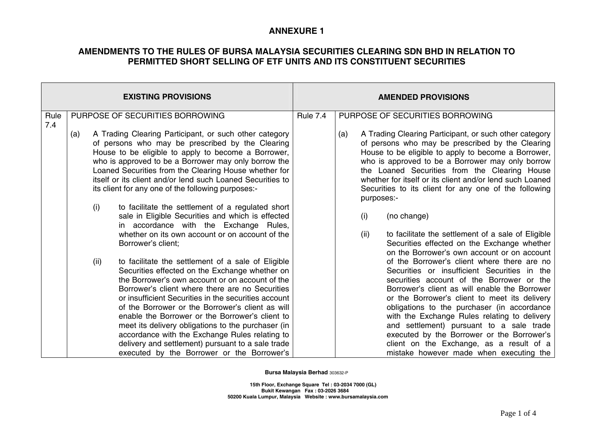### **AMENDMENTS TO THE RULES OF BURSA MALAYSIA SECURITIES CLEARING SDN BHD IN RELATION TO PERMITTED SHORT SELLING OF ETF UNITS AND ITS CONSTITUENT SECURITIES**

|             |     |                                 | <b>EXISTING PROVISIONS</b>                                                                                                                                                                                                                                                                                                                                                                                                                                                                                                                                                                                                                                                                                                                  | <b>AMENDED PROVISIONS</b> |     |                           |                                                                                                                                                                                                                                                                                                                                                                                                                                                                                                                                                                                                                                                               |
|-------------|-----|---------------------------------|---------------------------------------------------------------------------------------------------------------------------------------------------------------------------------------------------------------------------------------------------------------------------------------------------------------------------------------------------------------------------------------------------------------------------------------------------------------------------------------------------------------------------------------------------------------------------------------------------------------------------------------------------------------------------------------------------------------------------------------------|---------------------------|-----|---------------------------|---------------------------------------------------------------------------------------------------------------------------------------------------------------------------------------------------------------------------------------------------------------------------------------------------------------------------------------------------------------------------------------------------------------------------------------------------------------------------------------------------------------------------------------------------------------------------------------------------------------------------------------------------------------|
| Rule<br>7.4 |     | PURPOSE OF SECURITIES BORROWING |                                                                                                                                                                                                                                                                                                                                                                                                                                                                                                                                                                                                                                                                                                                                             |                           |     |                           | PURPOSE OF SECURITIES BORROWING                                                                                                                                                                                                                                                                                                                                                                                                                                                                                                                                                                                                                               |
|             | (a) | (i)<br>(ii)                     | A Trading Clearing Participant, or such other category<br>of persons who may be prescribed by the Clearing<br>House to be eligible to apply to become a Borrower,<br>who is approved to be a Borrower may only borrow the<br>Loaned Securities from the Clearing House whether for<br>itself or its client and/or lend such Loaned Securities to<br>its client for any one of the following purposes:-<br>to facilitate the settlement of a regulated short<br>sale in Eligible Securities and which is effected<br>in accordance with the Exchange Rules,<br>whether on its own account or on account of the<br>Borrower's client;<br>to facilitate the settlement of a sale of Eligible<br>Securities effected on the Exchange whether on |                           | (a) | purposes:-<br>(i)<br>(ii) | A Trading Clearing Participant, or such other category<br>of persons who may be prescribed by the Clearing<br>House to be eligible to apply to become a Borrower,<br>who is approved to be a Borrower may only borrow<br>the Loaned Securities from the Clearing House<br>whether for itself or its client and/or lend such Loaned<br>Securities to its client for any one of the following<br>(no change)<br>to facilitate the settlement of a sale of Eligible<br>Securities effected on the Exchange whether<br>on the Borrower's own account or on account<br>of the Borrower's client where there are no<br>Securities or insufficient Securities in the |
|             |     |                                 | the Borrower's own account or on account of the<br>Borrower's client where there are no Securities<br>or insufficient Securities in the securities account<br>of the Borrower or the Borrower's client as will<br>enable the Borrower or the Borrower's client to<br>meet its delivery obligations to the purchaser (in<br>accordance with the Exchange Rules relating to<br>delivery and settlement) pursuant to a sale trade<br>executed by the Borrower or the Borrower's                                                                                                                                                                                                                                                                |                           |     |                           | securities account of the Borrower or the<br>Borrower's client as will enable the Borrower<br>or the Borrower's client to meet its delivery<br>obligations to the purchaser (in accordance<br>with the Exchange Rules relating to delivery<br>and settlement) pursuant to a sale trade<br>executed by the Borrower or the Borrower's<br>client on the Exchange, as a result of a<br>mistake however made when executing the                                                                                                                                                                                                                                   |

**Bursa Malaysia Berhad** 303632-P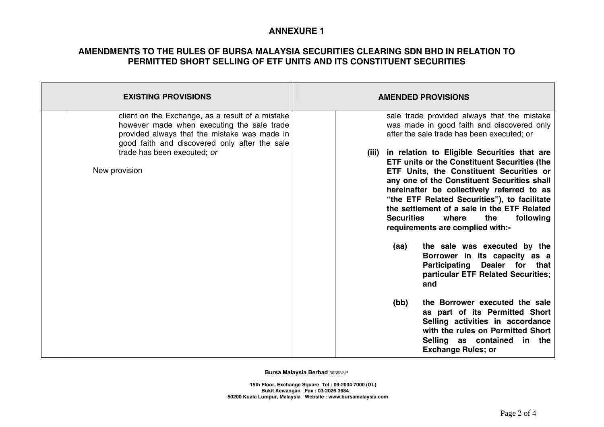### **AMENDMENTS TO THE RULES OF BURSA MALAYSIA SECURITIES CLEARING SDN BHD IN RELATION TO PERMITTED SHORT SELLING OF ETF UNITS AND ITS CONSTITUENT SECURITIES**

| <b>EXISTING PROVISIONS</b>                                                                                                                                                                                                                      | <b>AMENDED PROVISIONS</b>                                                                                                                                                                                                                                                                                                                                                                                                                                                                                                                                                                                                                                                                                                                                                                                                                                                                        |  |  |  |  |
|-------------------------------------------------------------------------------------------------------------------------------------------------------------------------------------------------------------------------------------------------|--------------------------------------------------------------------------------------------------------------------------------------------------------------------------------------------------------------------------------------------------------------------------------------------------------------------------------------------------------------------------------------------------------------------------------------------------------------------------------------------------------------------------------------------------------------------------------------------------------------------------------------------------------------------------------------------------------------------------------------------------------------------------------------------------------------------------------------------------------------------------------------------------|--|--|--|--|
| client on the Exchange, as a result of a mistake<br>however made when executing the sale trade<br>provided always that the mistake was made in<br>good faith and discovered only after the sale<br>trade has been executed; or<br>New provision | sale trade provided always that the mistake<br>was made in good faith and discovered only<br>after the sale trade has been executed; or<br>(iii) in relation to Eligible Securities that are<br><b>ETF units or the Constituent Securities (the</b><br>ETF Units, the Constituent Securities or<br>any one of the Constituent Securities shall<br>hereinafter be collectively referred to as<br>"the ETF Related Securities"), to facilitate<br>the settlement of a sale in the ETF Related<br><b>Securities</b><br>following<br>where<br>the<br>requirements are complied with:-<br>the sale was executed by the<br>(aa)<br>Borrower in its capacity as a<br>Dealer for that<br>Participating<br>particular ETF Related Securities;<br>and<br>the Borrower executed the sale<br>(bb)<br>as part of its Permitted Short<br>Selling activities in accordance<br>with the rules on Permitted Short |  |  |  |  |
|                                                                                                                                                                                                                                                 | Selling as contained in the<br><b>Exchange Rules; or</b>                                                                                                                                                                                                                                                                                                                                                                                                                                                                                                                                                                                                                                                                                                                                                                                                                                         |  |  |  |  |

**Bursa Malaysia Berhad** 303632-P

 **15th Floor, Exchange Square Tel : 03-2034 7000 (GL) Bukit Kewangan Fax : 03-2026 3684 50200 Kuala Lumpur, Malaysia Website : www.bursamalaysia.com**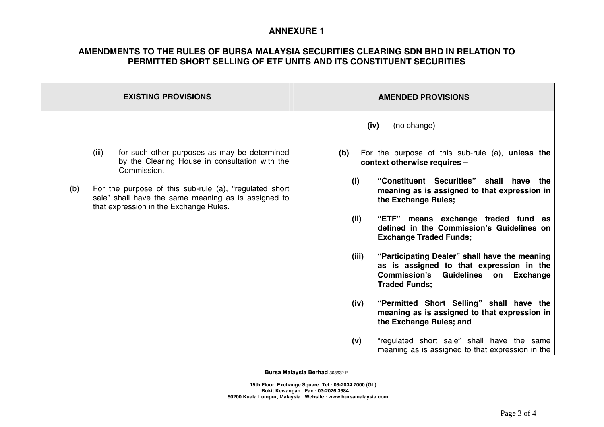#### **AMENDMENTS TO THE RULES OF BURSA MALAYSIA SECURITIES CLEARING SDN BHD IN RELATION TO PERMITTED SHORT SELLING OF ETF UNITS AND ITS CONSTITUENT SECURITIES**

| <b>EXISTING PROVISIONS</b>                                                                                                                                                                                                                                                               | <b>AMENDED PROVISIONS</b>                                                                                                                                                                                                                                                                                                                                                                                                                                                                                                                                                                                                                                                       |  |  |
|------------------------------------------------------------------------------------------------------------------------------------------------------------------------------------------------------------------------------------------------------------------------------------------|---------------------------------------------------------------------------------------------------------------------------------------------------------------------------------------------------------------------------------------------------------------------------------------------------------------------------------------------------------------------------------------------------------------------------------------------------------------------------------------------------------------------------------------------------------------------------------------------------------------------------------------------------------------------------------|--|--|
| for such other purposes as may be determined<br>(iii)<br>by the Clearing House in consultation with the<br>Commission.<br>For the purpose of this sub-rule (a), "regulated short<br>(b)<br>sale" shall have the same meaning as is assigned to<br>that expression in the Exchange Rules. | (no change)<br>(iv)<br>(b)<br>For the purpose of this sub-rule (a), <b>unless the</b><br>context otherwise requires -<br>"Constituent Securities" shall have the<br>(i)<br>meaning as is assigned to that expression in<br>the Exchange Rules;<br>(ii)<br>"ETF" means exchange traded fund as<br>defined in the Commission's Guidelines on<br><b>Exchange Traded Funds;</b><br>(iii)<br>"Participating Dealer" shall have the meaning<br>as is assigned to that expression in the<br>Commission's Guidelines on Exchange<br><b>Traded Funds:</b><br>"Permitted Short Selling" shall have the<br>(iv)<br>meaning as is assigned to that expression in<br>the Exchange Rules; and |  |  |
|                                                                                                                                                                                                                                                                                          | (v)<br>"regulated short sale" shall have the same<br>meaning as is assigned to that expression in the                                                                                                                                                                                                                                                                                                                                                                                                                                                                                                                                                                           |  |  |

**Bursa Malaysia Berhad** 303632-P

 **15th Floor, Exchange Square Tel : 03-2034 7000 (GL) Bukit Kewangan Fax : 03-2026 3684 50200 Kuala Lumpur, Malaysia Website : www.bursamalaysia.com**